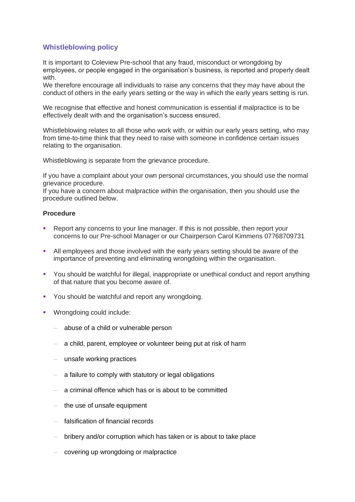## **Whistleblowing policy**

It is important to Coleview Pre-school that any fraud, misconduct or wrongdoing by employees, or people engaged in the organisation's business, is reported and properly dealt with.

We therefore encourage all individuals to raise any concerns that they may have about the conduct of others in the early years setting or the way in which the early years setting is run.

We recognise that effective and honest communication is essential if malpractice is to be effectively dealt with and the organisation's success ensured.

Whistleblowing relates to all those who work with, or within our early years setting, who may from time-to-time think that they need to raise with someone in confidence certain issues relating to the organisation.

Whistleblowing is separate from the grievance procedure.

If you have a complaint about your own personal circumstances, you should use the normal grievance procedure.

If you have a concern about malpractice within the organisation, then you should use the procedure outlined below.

## **Procedure**

- Report any concerns to your line manager. If this is not possible, then report your concerns to our Pre-school Manager or our Chairperson Carol Kimmens 07768709731
- All employees and those involved with the early years setting should be aware of the importance of preventing and eliminating wrongdoing within the organisation.
- You should be watchful for illegal, inappropriate or unethical conduct and report anything of that nature that you become aware of.
- You should be watchful and report any wrongdoing.
- Wrongdoing could include:
	- − abuse of a child or vulnerable person
	- − a child, parent, employee or volunteer being put at risk of harm
	- unsafe working practices
	- a failure to comply with statutory or legal obligations
	- a criminal offence which has or is about to be committed
	- − the use of unsafe equipment
	- − falsification of financial records
	- − bribery and/or corruption which has taken or is about to take place
	- − covering up wrongdoing or malpractice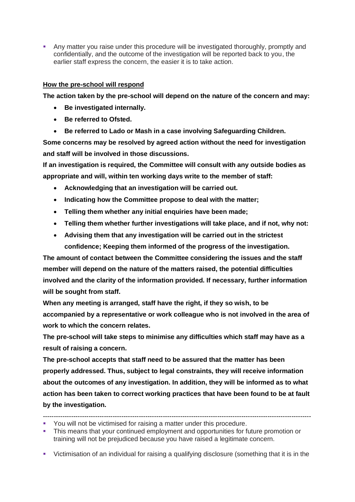**• Any matter you raise under this procedure will be investigated thoroughly, promptly and** confidentially, and the outcome of the investigation will be reported back to you, the earlier staff express the concern, the easier it is to take action.

## **How the pre-school will respond**

**The action taken by the pre-school will depend on the nature of the concern and may:**

- **Be investigated internally.**
- **Be referred to Ofsted.**
- **Be referred to Lado or Mash in a case involving Safeguarding Children.**

**Some concerns may be resolved by agreed action without the need for investigation and staff will be involved in those discussions.**

**If an investigation is required, the Committee will consult with any outside bodies as appropriate and will, within ten working days write to the member of staff:**

- **Acknowledging that an investigation will be carried out.**
- **Indicating how the Committee propose to deal with the matter;**
- **Telling them whether any initial enquiries have been made;**
- **Telling them whether further investigations will take place, and if not, why not:**
- **Advising them that any investigation will be carried out in the strictest confidence; Keeping them informed of the progress of the investigation.**

**The amount of contact between the Committee considering the issues and the staff member will depend on the nature of the matters raised, the potential difficulties involved and the clarity of the information provided. If necessary, further information will be sought from staff.**

**When any meeting is arranged, staff have the right, if they so wish, to be accompanied by a representative or work colleague who is not involved in the area of work to which the concern relates.**

**The pre-school will take steps to minimise any difficulties which staff may have as a result of raising a concern.**

**The pre-school accepts that staff need to be assured that the matter has been properly addressed. Thus, subject to legal constraints, they will receive information about the outcomes of any investigation. In addition, they will be informed as to what action has been taken to correct working practices that have been found to be at fault by the investigation.**

▪ This means that your continued employment and opportunities for future promotion or training will not be prejudiced because you have raised a legitimate concern.

<sup>---------------------------------------------------------------------------------------------------------------------------</sup>

<sup>▪</sup> You will not be victimised for raising a matter under this procedure.

<sup>▪</sup> Victimisation of an individual for raising a qualifying disclosure (something that it is in the